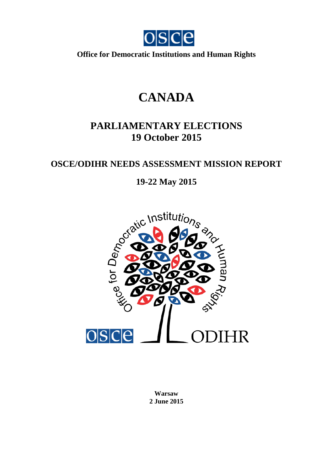

**Office for Democratic Institutions and Human Rights**

# **CANADA**

# **PARLIAMENTARY ELECTIONS 19 October 2015**

# **OSCE/ODIHR NEEDS ASSESSMENT MISSION REPORT**



**Warsaw 2 June 2015**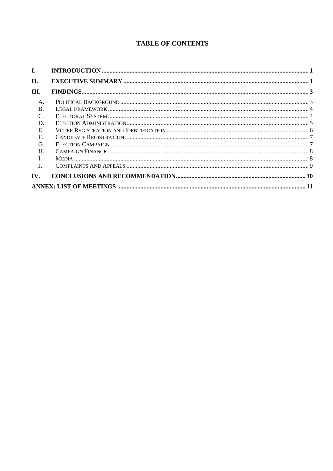# **TABLE OF CONTENTS**

| I.                          |  |
|-----------------------------|--|
| II.                         |  |
| Ш.                          |  |
| A.                          |  |
| <sub>R</sub>                |  |
| $\mathcal{C}_{\mathcal{C}}$ |  |
| D.                          |  |
| E.                          |  |
| $\mathbf F$                 |  |
| G                           |  |
| Н.                          |  |
|                             |  |
| J.                          |  |
| IV.                         |  |
|                             |  |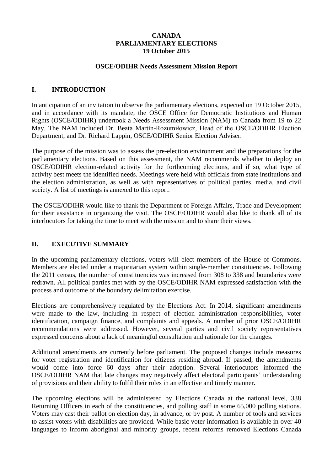#### **CANADA PARLIAMENTARY ELECTIONS 19 October 2015**

#### **OSCE/ODIHR Needs Assessment Mission Report**

#### <span id="page-2-0"></span>**I. INTRODUCTION**

In anticipation of an invitation to observe the parliamentary elections, expected on 19 October 2015, and in accordance with its mandate, the OSCE Office for Democratic Institutions and Human Rights (OSCE/ODIHR) undertook a Needs Assessment Mission (NAM) to Canada from 19 to 22 May. The NAM included Dr. Beata Martin-Rozumiłowicz, Head of the OSCE/ODIHR Election Department, and Dr. Richard Lappin, OSCE/ODIHR Senior Election Adviser.

The purpose of the mission was to assess the pre-election environment and the preparations for the parliamentary elections. Based on this assessment, the NAM recommends whether to deploy an OSCE/ODIHR election-related activity for the forthcoming elections, and if so, what type of activity best meets the identified needs. Meetings were held with officials from state institutions and the election administration, as well as with representatives of political parties, media, and civil society. A list of meetings is annexed to this report.

The OSCE/ODIHR would like to thank the Department of Foreign Affairs, Trade and Development for their assistance in organizing the visit. The OSCE/ODIHR would also like to thank all of its interlocutors for taking the time to meet with the mission and to share their views.

#### <span id="page-2-1"></span>**II. EXECUTIVE SUMMARY**

In the upcoming parliamentary elections, voters will elect members of the House of Commons. Members are elected under a majoritarian system within single-member constituencies. Following the 2011 census, the number of constituencies was increased from 308 to 338 and boundaries were redrawn. All political parties met with by the OSCE/ODIHR NAM expressed satisfaction with the process and outcome of the boundary delimitation exercise.

Elections are comprehensively regulated by the Elections Act. In 2014, significant amendments were made to the law, including in respect of election administration responsibilities, voter identification, campaign finance, and complaints and appeals. A number of prior OSCE/ODIHR recommendations were addressed. However, several parties and civil society representatives expressed concerns about a lack of meaningful consultation and rationale for the changes.

Additional amendments are currently before parliament. The proposed changes include measures for voter registration and identification for citizens residing abroad. If passed, the amendments would come into force 60 days after their adoption. Several interlocutors informed the OSCE/ODIHR NAM that late changes may negatively affect electoral participants' understanding of provisions and their ability to fulfil their roles in an effective and timely manner.

The upcoming elections will be administered by Elections Canada at the national level, 338 Returning Officers in each of the constituencies, and polling staff in some 65,000 polling stations. Voters may cast their ballot on election day, in advance, or by post. A number of tools and services to assist voters with disabilities are provided. While basic voter information is available in over 40 languages to inform aboriginal and minority groups, recent reforms removed Elections Canada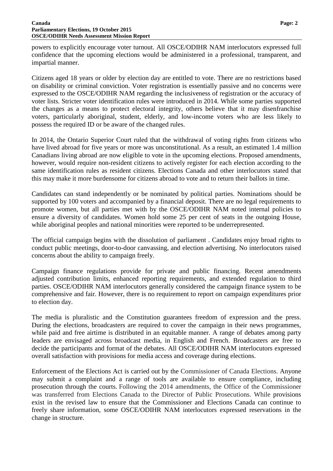powers to explicitly encourage voter turnout. All OSCE/ODIHR NAM interlocutors expressed full confidence that the upcoming elections would be administered in a professional, transparent, and impartial manner.

Citizens aged 18 years or older by election day are entitled to vote. There are no restrictions based on disability or criminal conviction. Voter registration is essentially passive and no concerns were expressed to the OSCE/ODIHR NAM regarding the inclusiveness of registration or the accuracy of voter lists. Stricter voter identification rules were introduced in 2014. While some parties supported the changes as a means to protect electoral integrity, others believe that it may disenfranchise voters, particularly aboriginal, student, elderly, and low-income voters who are less likely to possess the required ID or be aware of the changed rules.

In 2014, the Ontario Superior Court ruled that the withdrawal of voting rights from citizens who have lived abroad for five years or more was unconstitutional. As a result, an estimated 1.4 million Canadians living abroad are now eligible to vote in the upcoming elections. Proposed amendments, however, would require non-resident citizens to actively register for each election according to the same identification rules as resident citizens. Elections Canada and other interlocutors stated that this may make it more burdensome for citizens abroad to vote and to return their ballots in time.

Candidates can stand independently or be nominated by political parties. Nominations should be supported by 100 voters and accompanied by a financial deposit. There are no legal requirements to promote women, but all parties met with by the OSCE/ODIHR NAM noted internal policies to ensure a diversity of candidates. Women hold some 25 per cent of seats in the outgoing House, while aboriginal peoples and national minorities were reported to be underrepresented.

The official campaign begins with the dissolution of parliament . Candidates enjoy broad rights to conduct public meetings, door-to-door canvassing, and election advertising. No interlocutors raised concerns about the ability to campaign freely.

Campaign finance regulations provide for private and public financing. Recent amendments adjusted contribution limits, enhanced reporting requirements, and extended regulation to third parties. OSCE/ODIHR NAM interlocutors generally considered the campaign finance system to be comprehensive and fair. However, there is no requirement to report on campaign expenditures prior to election day.

The media is pluralistic and the Constitution guarantees freedom of expression and the press. During the elections, broadcasters are required to cover the campaign in their news programmes, while paid and free airtime is distributed in an equitable manner. A range of debates among party leaders are envisaged across broadcast media, in English and French. Broadcasters are free to decide the participants and format of the debates. All OSCE/ODIHR NAM interlocutors expressed overall satisfaction with provisions for media access and coverage during elections.

Enforcement of the Elections Act is carried out by the Commissioner of Canada Elections. Anyone may submit a complaint and a range of tools are available to ensure compliance, including prosecution through the courts. Following the 2014 amendments, the Office of the Commissioner was transferred from Elections Canada to the Director of Public Prosecutions. While provisions exist in the revised law to ensure that the Commissioner and Elections Canada can continue to freely share information, some OSCE/ODIHR NAM interlocutors expressed reservations in the change in structure.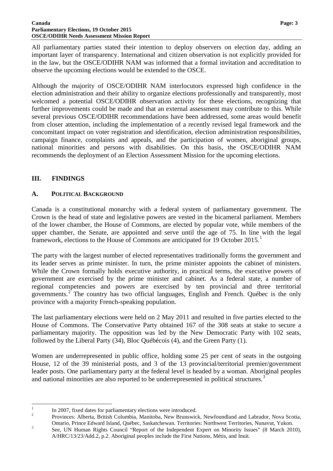#### **Canada Page: 3 Parliamentary Elections, 19 October 2015 OSCE/ODIHR Needs Assessment Mission Report**

All parliamentary parties stated their intention to deploy observers on election day, adding an important layer of transparency. International and citizen observation is not explicitly provided for in the law, but the OSCE/ODIHR NAM was informed that a formal invitation and accreditation to observe the upcoming elections would be extended to the OSCE.

Although the majority of OSCE/ODIHR NAM interlocutors expressed high confidence in the election administration and their ability to organize elections professionally and transparently, most welcomed a potential OSCE/ODIHR observation activity for these elections, recognizing that further improvements could be made and that an external assessment may contribute to this. While several previous OSCE/ODIHR recommendations have been addressed, some areas would benefit from closer attention, including the implementation of a recently revised legal framework and the concomitant impact on voter registration and identification, election administration responsibilities, campaign finance, complaints and appeals, and the participation of women, aboriginal groups, national minorities and persons with disabilities. On this basis, the OSCE/ODIHR NAM recommends the deployment of an Election Assessment Mission for the upcoming elections.

# <span id="page-4-0"></span>**III. FINDINGS**

## <span id="page-4-1"></span>**A. POLITICAL BACKGROUND**

Canada is a constitutional monarchy with a federal system of parliamentary government. The Crown is the head of state and legislative powers are vested in the bicameral parliament. Members of the lower chamber, the House of Commons, are elected by popular vote, while members of the upper chamber, the Senate, are appointed and serve until the age of 75. In line with the legal framework, elections to the House of Commons are anticipated for [1](#page-4-2)9 October  $2015<sup>1</sup>$ 

The party with the largest number of elected representatives traditionally forms the government and its leader serves as prime minister. In turn, the prime minister appoints the cabinet of ministers. While the Crown formally holds executive authority, in practical terms, the executive powers of government are exercised by the prime minister and cabinet. As a federal state, a number of regional competencies and powers are exercised by ten provincial and three territorial governments.[2](#page-4-3) The country has two official languages, English and French. Québec is the only province with a majority French-speaking population.

The last parliamentary elections were held on 2 May 2011 and resulted in five parties elected to the House of Commons. The Conservative Party obtained 167 of the 308 seats at stake to secure a parliamentary majority. The opposition was led by the New Democratic Party with 102 seats, followed by the Liberal Party (34), Bloc Québécois (4), and the Green Party (1).

Women are underrepresented in public office, holding some 25 per cent of seats in the outgoing House, 12 of the 39 ministerial posts, and 3 of the 13 provincial/territorial premier/government leader posts. One parliamentary party at the federal level is headed by a woman. Aboriginal peoples and national minorities are also reported to be underrepresented in political structures.<sup>[3](#page-4-4)</sup>

<sup>1</sup> In 2007, fixed dates for parliamentary elections were introduced.<br><sup>2</sup> Provinces: Alberta, British Columbia, Manitoba, New Brunswick, Newfoundland and Labrador, Nova Scotia,

<span id="page-4-2"></span>

<span id="page-4-4"></span><span id="page-4-3"></span>Ontario, Prince Edward Island, Québec, Saskatchewan. Territories: Northwest Territories, Nunavut, Yukon. <sup>3</sup> See, UN Human Rights Council "Report of the Independent Expert on Minority Issues" (8 March 2010), A/HRC/13/23/Add.2, p.2. Aboriginal peoples include the First Nations, Métis, and Inuit.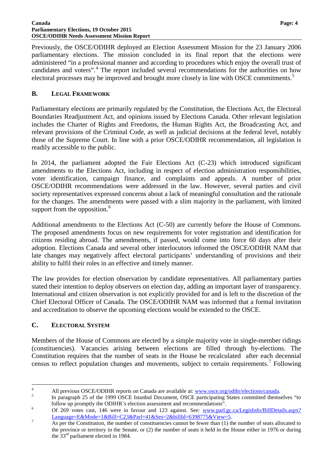#### **Canada Page: 4 Parliamentary Elections, 19 October 2015 OSCE/ODIHR Needs Assessment Mission Report**

Previously, the OSCE/ODIHR deployed an Election Assessment Mission for the 23 January 2006 parliamentary elections. The mission concluded in its final report that the elections were administered "in a professional manner and according to procedures which enjoy the overall trust of candidates and voters".<sup>[4](#page-5-2)</sup> The report included several recommendations for the authorities on how electoral processes may be improved and brought more closely in line with OSCE commitments.<sup>[5](#page-5-3)</sup>

#### <span id="page-5-0"></span>**B. LEGAL FRAMEWORK**

Parliamentary elections are primarily regulated by the Constitution, the Elections Act, the Electoral Boundaries Readjustment Act, and opinions issued by Elections Canada. Other relevant legislation includes the Charter of Rights and Freedoms, the Human Rights Act, the Broadcasting Act, and relevant provisions of the Criminal Code, as well as judicial decisions at the federal level, notably those of the Supreme Court. In line with a prior OSCE/ODIHR recommendation, all legislation is readily accessible to the public.

In 2014, the parliament adopted the Fair Elections Act (C-23) which introduced significant amendments to the Elections Act, including in respect of election administration responsibilities, voter identification, campaign finance, and complaints and appeals. A number of prior OSCE/ODIHR recommendations were addressed in the law. However, several parties and civil society representatives expressed concerns about a lack of meaningful consultation and the rationale for the changes. The amendments were passed with a slim majority in the parliament, with limited support from the opposition.<sup>[6](#page-5-4)</sup>

Additional amendments to the Elections Act (C-50) are currently before the House of Commons. The proposed amendments focus on new requirements for voter registration and identification for citizens residing abroad. The amendments, if passed, would come into force 60 days after their adoption. Elections Canada and several other interlocutors informed the OSCE/ODIHR NAM that late changes may negatively affect electoral participants' understanding of provisions and their ability to fulfil their roles in an effective and timely manner.

The law provides for election observation by candidate representatives. All parliamentary parties stated their intention to deploy observers on election day, adding an important layer of transparency. International and citizen observation is not explicitly provided for and is left to the discretion of the Chief Electoral Officer of Canada. The OSCE/ODIHR NAM was informed that a formal invitation and accreditation to observe the upcoming elections would be extended to the OSCE.

#### <span id="page-5-1"></span>**C. ELECTORAL SYSTEM**

Members of the House of Commons are elected by a simple majority vote in single-member ridings (constituencies). Vacancies arising between elections are filled through by-elections. The Constitution requires that the number of seats in the House be recalculated after each decennial census to reflect population changes and movements, subject to certain requirements.<sup>[7](#page-5-5)</sup> Following

<span id="page-5-3"></span>

<span id="page-5-2"></span><sup>&</sup>lt;sup>4</sup><br>All previous OSCE/ODIHR reports on Canada are available at: [www.osce.org/odihr/elections/canada.](http://www.osce.org/odihr/elections/canada)<br>In paragraph 25 of the 1999 OSCE Istanbul Document, OSCE participating States committed themselves "to<br>follow up promptly

<span id="page-5-4"></span>follow up promptly the ODIHR's election assessment and recommendations".<br>
Of 269 votes cast, 146 were in favour and 123 against. See: www.parl.gc.ca/LegisInfo/BillDetails.aspx? [Language=E&Mode=1&Bill=C23&Parl=41&Ses=2&billId=6398775&View=5.](http://www.parl.gc.ca/LegisInfo/BillDetails.aspx?%20Language=E&Mode=1&Bill=C23&Parl=41&Ses=2&billId=6398775&View=5) [7](http://www.parl.gc.ca/LegisInfo/BillDetails.aspx?%20Language=E&Mode=1&Bill=C23&Parl=41&Ses=2&billId=6398775&View=5) As per the Constitution, the number of constituencies cannot be fewer than (1) the number of seats allocated to

<span id="page-5-5"></span>the province or territory in the Senate, or (2) the number of seats it held in the House either in 1976 or during the  $33<sup>rd</sup>$  parliament elected in 1984.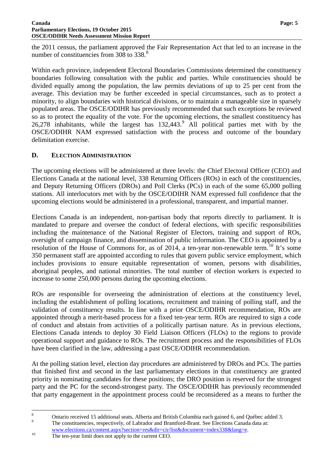#### **Canada Page: 5 Parliamentary Elections, 19 October 2015 OSCE/ODIHR Needs Assessment Mission Report**

the 2011 census, the parliament approved the Fair Representation Act that led to an increase in the number of constituencies from 30[8](#page-6-1) to 338.<sup>8</sup>

Within each province, independent Electoral Boundaries Commissions determined the constituency boundaries following consultation with the public and parties. While constituencies should be divided equally among the population, the law permits deviations of up to 25 per cent from the average. This deviation may be further exceeded in special circumstances, such as to protect a minority, to align boundaries with historical divisions, or to maintain a manageable size in sparsely populated areas. The OSCE/ODIHR has previously recommended that such exceptions be reviewed so as to protect the equality of the vote. For the upcoming elections, the smallest constituency has 26,278 inhabitants, while the largest has  $132,443$ .<sup>[9](#page-6-2)</sup> All political parties met with by the OSCE/ODIHR NAM expressed satisfaction with the process and outcome of the boundary delimitation exercise.

#### <span id="page-6-0"></span>**D. ELECTION ADMINISTRATION**

The upcoming elections will be administered at three levels: the Chief Electoral Officer (CEO) and Elections Canada at the national level, 338 Returning Officers (ROs) in each of the constituencies, and Deputy Returning Officers (DROs) and Poll Clerks (PCs) in each of the some 65,000 polling stations. All interlocutors met with by the OSCE/ODIHR NAM expressed full confidence that the upcoming elections would be administered in a professional, transparent, and impartial manner.

Elections Canada is an independent, non-partisan body that reports directly to parliament. It is mandated to prepare and oversee the conduct of federal elections, with specific responsibilities including the maintenance of the National Register of Electors, training and support of ROs, oversight of campaign finance, and dissemination of public information. The CEO is appointed by a resolution of the House of Commons for, as of 2014, a ten-year non-renewable term.<sup>[10](#page-6-3)</sup> It's some 350 permanent staff are appointed according to rules that govern public service employment, which includes provisions to ensure equitable representation of women, persons with disabilities, aboriginal peoples, and national minorities. The total number of election workers is expected to increase to some 250,000 persons during the upcoming elections.

ROs are responsible for overseeing the administration of elections at the constituency level, including the establishment of polling locations, recruitment and training of polling staff, and the validation of constituency results. In line with a prior OSCE/ODIHR recommendation, ROs are appointed through a merit-based process for a fixed ten-year term. ROs are required to sign a code of conduct and abstain from activities of a politically partisan nature. As in previous elections, Elections Canada intends to deploy 30 Field Liaison Officers (FLOs) to the regions to provide operational support and guidance to ROs. The recruitment process and the responsibilities of FLOs have been clarified in the law, addressing a past OSCE/ODIHR recommendation.

At the polling station level, election day procedures are administered by DROs and PCs. The parties that finished first and second in the last parliamentary elections in that constituency are granted priority in nominating candidates for these positions; the DRO position is reserved for the strongest party and the PC for the second-strongest party. The OSCE/ODIHR has previously recommended that party engagement in the appointment process could be reconsidered as a means to further the

<span id="page-6-1"></span><sup>&</sup>lt;sup>8</sup> Ontario received 15 additional seats, Alberta and British Columbia each gained 6, and Québec added 3.<br><sup>9</sup> The constituencies, respectively, of Labrador and Brantford-Brant. See Elections Canada data at:

<span id="page-6-2"></span>[www.elections.ca/content.aspx?section=res&dir=cir/list&document=index338&lang=e.](http://www.elections.ca/content.aspx?section=res&dir=cir/list&document=index338&lang=e)<br>The ten-year limit does not apply to the current CEO.

<span id="page-6-3"></span>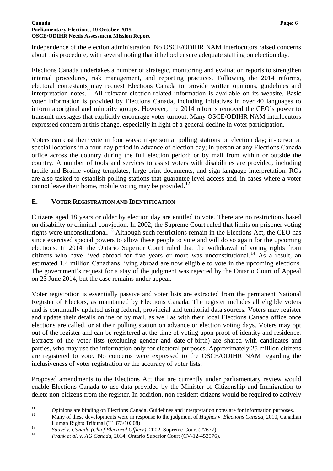#### **Canada Page: 6 Parliamentary Elections, 19 October 2015 OSCE/ODIHR Needs Assessment Mission Report**

independence of the election administration. No OSCE/ODIHR NAM interlocutors raised concerns about this procedure, with several noting that it helped ensure adequate staffing on election day.

Elections Canada undertakes a number of strategic, monitoring and evaluation reports to strengthen internal procedures, risk management, and reporting practices. Following the 2014 reforms, electoral contestants may request Elections Canada to provide written opinions, guidelines and interpretation notes.<sup>[11](#page-7-1)</sup> All relevant election-related information is available on its website. Basic voter information is provided by Elections Canada, including initiatives in over 40 languages to inform aboriginal and minority groups. However, the 2014 reforms removed the CEO's power to transmit messages that explicitly encourage voter turnout. Many OSCE/ODIHR NAM interlocutors expressed concern at this change, especially in light of a general decline in voter participation.

Voters can cast their vote in four ways: in-person at polling stations on election day; in-person at special locations in a four-day period in advance of election day; in-person at any Elections Canada office across the country during the full election period; or by mail from within or outside the country. A number of tools and services to assist voters with disabilities are provided, including tactile and Braille voting templates, large-print documents, and sign-language interpretation. ROs are also tasked to establish polling stations that guarantee level access and, in cases where a voter cannot leave their home, mobile voting may be provided.<sup>[12](#page-7-2)</sup>

#### <span id="page-7-0"></span>**E. VOTER REGISTRATION AND IDENTIFICATION**

Citizens aged 18 years or older by election day are entitled to vote. There are no restrictions based on disability or criminal conviction. In 2002, the Supreme Court ruled that limits on prisoner voting rights were unconstitutional.<sup>[13](#page-7-3)</sup> Although such restrictions remain in the Elections Act, the CEO has since exercised special powers to allow these people to vote and will do so again for the upcoming elections. In 2014, the Ontario Superior Court ruled that the withdrawal of voting rights from citizens who have lived abroad for five years or more was unconstitutional.<sup>[14](#page-7-4)</sup> As a result, an estimated 1.4 million Canadians living abroad are now eligible to vote in the upcoming elections. The government's request for a stay of the judgment was rejected by the Ontario Court of Appeal on 23 June 2014, but the case remains under appeal.

Voter registration is essentially passive and voter lists are extracted from the permanent National Register of Electors, as maintained by Elections Canada. The register includes all eligible voters and is continually updated using federal, provincial and territorial data sources. Voters may register and update their details online or by mail, as well as with their local Elections Canada office once elections are called, or at their polling station on advance or election voting days. Voters may opt out of the register and can be registered at the time of voting upon proof of identity and residence. Extracts of the voter lists (excluding gender and date-of-birth) are shared with candidates and parties, who may use the information only for electoral purposes. Approximately 25 million citizens are registered to vote. No concerns were expressed to the OSCE/ODIHR NAM regarding the inclusiveness of voter registration or the accuracy of voter lists.

Proposed amendments to the Elections Act that are currently under parliamentary review would enable Elections Canada to use data provided by the Minister of Citizenship and Immigration to delete non-citizens from the register. In addition, non-resident citizens would be required to actively

<span id="page-7-2"></span>Human Rights Tribunal (T1373/10308).<br> *Sauvé v. Canada (Chief Electoral Officer)*, 2002, Supreme Court (27677).<br> *Frank et al. v. AG Canada*, 2014, Ontario Superior Court (CV-12-453976).

<span id="page-7-1"></span><sup>&</sup>lt;sup>11</sup> Opinions are binding on Elections Canada. Guidelines and interpretation notes are for information purposes.<br>Many of these developments were in response to the judgment of *Hughes v. Elections Canada*, 2010, Canadian

<span id="page-7-3"></span>

<span id="page-7-4"></span>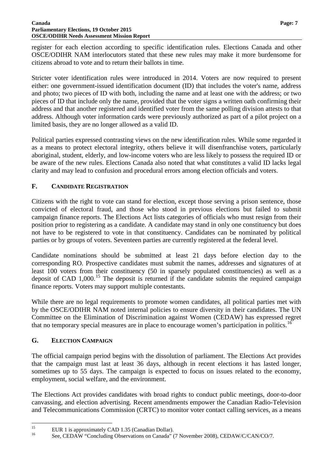#### **Canada Page: 7 Parliamentary Elections, 19 October 2015 OSCE/ODIHR Needs Assessment Mission Report**

register for each election according to specific identification rules. Elections Canada and other OSCE/ODIHR NAM interlocutors stated that these new rules may make it more burdensome for citizens abroad to vote and to return their ballots in time.

Stricter voter identification rules were introduced in 2014. Voters are now required to present either: one government-issued identification document (ID) that includes the voter's name, address and photo; two pieces of ID with both, including the name and at least one with the address; or two pieces of ID that include only the name, provided that the voter signs a written oath confirming their address and that another registered and identified voter from the same polling division attests to that address. Although voter information cards were previously authorized as part of a pilot project on a limited basis, they are no longer allowed as a valid ID.

Political parties expressed contrasting views on the new identification rules. While some regarded it as a means to protect electoral integrity, others believe it will disenfranchise voters, particularly aboriginal, student, elderly, and low-income voters who are less likely to possess the required ID or be aware of the new rules. Elections Canada also noted that what constitutes a valid ID lacks legal clarity and may lead to confusion and procedural errors among election officials and voters.

## <span id="page-8-0"></span>**F. CANDIDATE REGISTRATION**

Citizens with the right to vote can stand for election, except those serving a prison sentence, those convicted of electoral fraud, and those who stood in previous elections but failed to submit campaign finance reports. The Elections Act lists categories of officials who must resign from their position prior to registering as a candidate. A candidate may stand in only one constituency but does not have to be registered to vote in that constituency. Candidates can be nominated by political parties or by groups of voters. Seventeen parties are currently registered at the federal level.

Candidate nominations should be submitted at least 21 days before election day to the corresponding RO. Prospective candidates must submit the names, addresses and signatures of at least 100 voters from their constituency (50 in sparsely populated constituencies) as well as a deposit of CAD  $1,000$ .<sup>[15](#page-8-2)</sup> The deposit is returned if the candidate submits the required campaign finance reports. Voters may support multiple contestants.

While there are no legal requirements to promote women candidates, all political parties met with by the OSCE/ODIHR NAM noted internal policies to ensure diversity in their candidates. The UN Committee on the Elimination of Discrimination against Women (CEDAW) has expressed regret that no temporary special measures are in place to encourage women's participation in politics.<sup>[16](#page-8-3)</sup>

# <span id="page-8-1"></span>**G. ELECTION CAMPAIGN**

The official campaign period begins with the dissolution of parliament. The Elections Act provides that the campaign must last at least 36 days, although in recent elections it has lasted longer, sometimes up to 55 days. The campaign is expected to focus on issues related to the economy, employment, social welfare, and the environment.

The Elections Act provides candidates with broad rights to conduct public meetings, door-to-door canvassing, and election advertising. Recent amendments empower the Canadian Radio-Television and Telecommunications Commission (CRTC) to monitor voter contact calling services, as a means

<span id="page-8-3"></span><span id="page-8-2"></span><sup>&</sup>lt;sup>15</sup> EUR 1 is approximately CAD 1.35 (Canadian Dollar).<br><sup>16</sup> See, CEDAW "Concluding Observations on Canada" (7 November 2008), CEDAW/C/CAN/CO/7.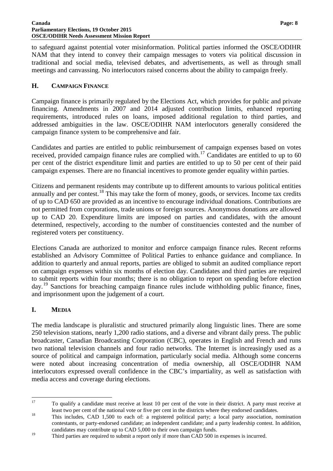to safeguard against potential voter misinformation. Political parties informed the OSCE/ODIHR NAM that they intend to convey their campaign messages to voters via political discussion in traditional and social media, televised debates, and advertisements, as well as through small meetings and canvassing. No interlocutors raised concerns about the ability to campaign freely.

#### <span id="page-9-0"></span>**H. CAMPAIGN FINANCE**

Campaign finance is primarily regulated by the Elections Act, which provides for public and private financing. Amendments in 2007 and 2014 adjusted contribution limits, enhanced reporting requirements, introduced rules on loans, imposed additional regulation to third parties, and addressed ambiguities in the law. OSCE/ODIHR NAM interlocutors generally considered the campaign finance system to be comprehensive and fair.

Candidates and parties are entitled to public reimbursement of campaign expenses based on votes received, provided campaign finance rules are complied with.<sup>[17](#page-9-2)</sup> Candidates are entitled to up to 60 per cent of the district expenditure limit and parties are entitled to up to 50 per cent of their paid campaign expenses. There are no financial incentives to promote gender equality within parties.

Citizens and permanent residents may contribute up to different amounts to various political entities annually and per contest.<sup>[18](#page-9-3)</sup> This may take the form of money, goods, or services. Income tax credits of up to CAD 650 are provided as an incentive to encourage individual donations. Contributions are not permitted from corporations, trade unions or foreign sources. Anonymous donations are allowed up to CAD 20. Expenditure limits are imposed on parties and candidates, with the amount determined, respectively, according to the number of constituencies contested and the number of registered voters per constituency.

Elections Canada are authorized to monitor and enforce campaign finance rules. Recent reforms established an Advisory Committee of Political Parties to enhance guidance and compliance. In addition to quarterly and annual reports, parties are obliged to submit an audited compliance report on campaign expenses within six months of election day. Candidates and third parties are required to submit reports within four months; there is no obligation to report on spending before election day.<sup>[19](#page-9-4)</sup> Sanctions for breaching campaign finance rules include withholding public finance, fines, and imprisonment upon the judgement of a court.

#### <span id="page-9-1"></span>**I. MEDIA**

The media landscape is pluralistic and structured primarily along linguistic lines. There are some 250 television stations, nearly 1,200 radio stations, and a diverse and vibrant daily press. The public broadcaster, Canadian Broadcasting Corporation (CBC), operates in English and French and runs two national television channels and four radio networks. The Internet is increasingly used as a source of political and campaign information, particularly social media. Although some concerns were noted about increasing concentration of media ownership, all OSCE/ODIHR NAM interlocutors expressed overall confidence in the CBC's impartiality, as well as satisfaction with media access and coverage during elections.

<span id="page-9-2"></span><sup>&</sup>lt;sup>17</sup> To qualify a candidate must receive at least 10 per cent of the vote in their district. A party must receive at

<span id="page-9-3"></span>least two per cent of the national vote or five per cent in the districts where they endorsed candidates.<br><sup>18</sup> This includes, CAD 1,500 to each of: a registered political party; a local party association, nomination contestants, or party-endorsed candidate; an independent candidate; and a party leadership contest. In addition, candidates may contribute up to CAD 5,000 to their own campaign funds.

<span id="page-9-4"></span><sup>&</sup>lt;sup>19</sup> Third parties are required to submit a report only if more than CAD 500 in expenses is incurred.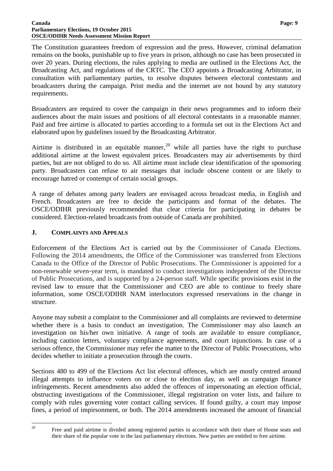#### **Canada Page: 9 Parliamentary Elections, 19 October 2015 OSCE/ODIHR Needs Assessment Mission Report**

The Constitution guarantees freedom of expression and the press. However, criminal defamation remains on the books, punishable up to five years in prison, although no case has been prosecuted in over 20 years. During elections, the rules applying to media are outlined in the Elections Act, the Broadcasting Act, and regulations of the CRTC. The CEO appoints a Broadcasting Arbitrator, in consultation with parliamentary parties, to resolve disputes between electoral contestants and broadcasters during the campaign. Print media and the internet are not bound by any statutory requirements.

Broadcasters are required to cover the campaign in their news programmes and to inform their audiences about the main issues and positions of all electoral contestants in a reasonable manner. Paid and free airtime is allocated to parties according to a formula set out in the Elections Act and elaborated upon by guidelines issued by the Broadcasting Arbitrator.

Airtime is distributed in an equitable manner,<sup>[20](#page-10-1)</sup> while all parties have the right to purchase additional airtime at the lowest equivalent prices. Broadcasters may air advertisements by third parties, but are not obliged to do so. All airtime must include clear identification of the sponsoring party. Broadcasters can refuse to air messages that include obscene content or are likely to encourage hatred or contempt of certain social groups.

A range of debates among party leaders are envisaged across broadcast media, in English and French. Broadcasters are free to decide the participants and format of the debates. The OSCE/ODIHR previously recommended that clear criteria for participating in debates be considered. Election-related broadcasts from outside of Canada are prohibited.

#### <span id="page-10-0"></span>**J. COMPLAINTS AND APPEALS**

Enforcement of the Elections Act is carried out by the Commissioner of Canada Elections. Following the 2014 amendments, the Office of the Commissioner was transferred from Elections Canada to the Office of the Director of Public Prosecutions. The Commissioner is appointed for a non-renewable seven-year term, is mandated to conduct investigations independent of the Director of Public Prosecutions, and is supported by a 24-person staff. While specific provisions exist in the revised law to ensure that the Commissioner and CEO are able to continue to freely share information, some OSCE/ODIHR NAM interlocutors expressed reservations in the change in structure.

Anyone may submit a complaint to the Commissioner and all complaints are reviewed to determine whether there is a basis to conduct an investigation. The Commissioner may also launch an investigation on his/her own initiative. A range of tools are available to ensure compliance, including caution letters, voluntary compliance agreements, and court injunctions. In case of a serious offence, the Commissioner may refer the matter to the Director of Public Prosecutions, who decides whether to initiate a prosecution through the courts.

Sections 480 to 499 of the Elections Act list electoral offences, which are mostly centred around illegal attempts to influence voters on or close to election day, as well as campaign finance infringements. Recent amendments also added the offences of impersonating an election official, obstructing investigations of the Commissioner, illegal registration on voter lists, and failure to comply with rules governing voter contact calling services. If found guilty, a court may impose fines, a period of impirsonment, or both. The 2014 amendments increased the amount of financial

<span id="page-10-1"></span>

<sup>&</sup>lt;sup>20</sup> Free and paid airtime is divided among registered parties in accordance with their share of House seats and their share of the popular vote in the last parliamentary elections. New parties are entitled to free airtime.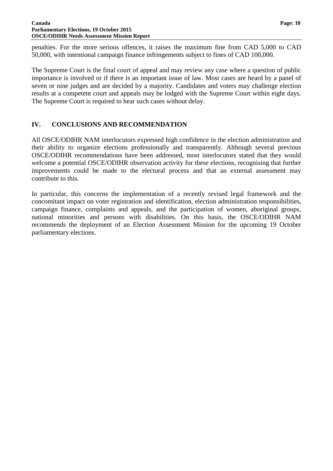penalties. For the more serious offences, it raises the maximum fine from CAD 5,000 to CAD 50,000, with intentional campaign finance infringements subject to fines of CAD 100,000.

The Supreme Court is the final court of appeal and may review any case where a question of public importance is involved or if there is an important issue of law. Most cases are heard by a panel of seven or nine judges and are decided by a majority. Candidates and voters may challenge election results at a competent court and appeals may be lodged with the Supreme Court within eight days. The Supreme Court is required to hear such cases without delay.

#### <span id="page-11-0"></span>**IV. CONCLUSIONS AND RECOMMENDATION**

All OSCE/ODIHR NAM interlocutors expressed high confidence in the election administration and their ability to organize elections professionally and transparently. Although several previous OSCE/ODIHR recommendations have been addressed, most interlocutors stated that they would welcome a potential OSCE/ODIHR observation activity for these elections, recognising that further improvements could be made to the electoral process and that an external assessment may contribute to this.

In particular, this concerns the implementation of a recently revised legal framework and the concomitant impact on voter registration and identification, election administration responsibilities, campaign finance, complaints and appeals, and the participation of women, aboriginal groups, national minorities and persons with disabilities. On this basis, the OSCE/ODIHR NAM recommends the deployment of an Election Assessment Mission for the upcoming 19 October parliamentary elections.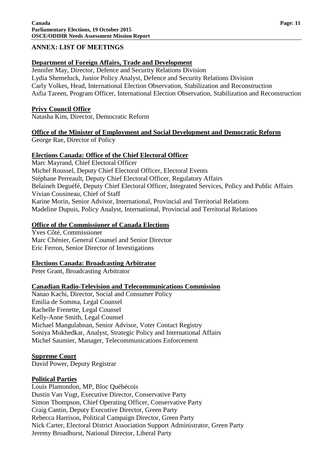#### <span id="page-12-0"></span>**ANNEX: LIST OF MEETINGS**

#### **Department of Foreign Affairs, Trade and Development**

Jennifer May, Director, Defence and Security Relations Division Lydia Shemeluck, Junior Policy Analyst, Defence and Security Relations Division Carly Volkes, Head, International Election Observation, Stabilization and Reconstruction Asfia Tareen, Program Officer, International Election Observation, Stabilization and Reconstruction

#### **Privy Council Office**

Natasha Kim, Director, Democratic Reform

#### **Office of the Minister of Employment and Social Development and Democratic Reform**

George Rae, Director of Policy

#### **Elections Canada: Office of the Chief Electoral Officer**

Marc Mayrand, Chief Electoral Officer Michel Roussel, Deputy Chief Electoral Officer, Electoral Events Stéphane Perreault, Deputy Chief Electoral Officer, Regulatory Affairs Belaineh Deguéfé, Deputy Chief Electoral Officer, Integrated Services, Policy and Public Affairs Vivian Cousineau, Chief of Staff Karine Morin, Senior Advisor, International, Provincial and Territorial Relations Madeline Dupuis, Policy Analyst, International, Provincial and Territorial Relations

#### **Office of the Commissioner of Canada Elections**

Yves Côté, Commissioner Marc Chénier, General Counsel and Senior Director Eric Ferron, Senior Director of Investigations

#### **Elections Canada: Broadcasting Arbitrator**

Peter Grant, Broadcasting Arbitrator

#### **Canadian Radio-Television and Telecommunications Commission**

Nanao Kachi, Director, Social and Consumer Policy Emilia de Somma, Legal Counsel Rachelle Frenette, Legal Counsel Kelly-Anne Smith, Legal Counsel Michael Mangulabnan, Senior Advisor, Voter Contact Registry Soniya Mukhedkar, Analyst, Strategic Policy and International Affairs Michel Saumier, Manager, Telecommunications Enforcement

#### **Supreme Court**

David Power, Deputy Registrar

#### **Political Parties**

Louis Plamondon, MP, Bloc Québécois Dustin Van Vugt, Executive Director, Conservative Party Simon Thompson, Chief Operating Officer, Conservative Party Craig Cantin, Deputy Executive Director, Green Party Rebecca Harrison, Political Campaign Director, Green Party Nick Carter, Electoral District Association Support Administrator, Green Party Jeremy Broadhurst, National Director, Liberal Party